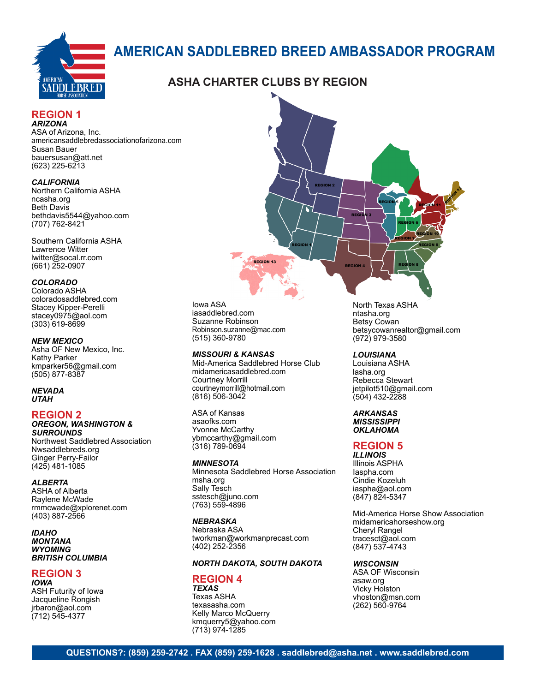

# **AMERICAN SADDLEBRED BREED AMBASSADOR PROGRAM**

# **ASHA CHARTER CLUBS BY REGION**

#### **REGION 1** *ARIZONA*

ASA of Arizona, Inc. americansaddlebredassociationofarizona.com Susan Bauer bauersusan@att.net (623) 225-6213

#### *CALIFORNIA*

Northern California ASHA ncasha.org Beth Davis bethdavis5544@yahoo.com (707) 762-8421

Southern California ASHA Lawrence Witter lwitter@socal.rr.com (661) 252-0907

#### *COLORADO*

Colorado ASHA coloradosaddlebred.com Stacey Kipper-Perelli stacey0975@aol.com (303) 619-8699

#### *NEW MEXICO*

Asha OF New Mexico, Inc. Kathy Parker kmparker56@gmail.com (505) 877-8387

#### *NEVADA UTAH*

#### **REGION 2**

#### *OREGON, WASHINGTON & SURROUNDS*

Northwest Saddlebred Association Nwsaddlebreds.org Ginger Perry-Failor (425) 481-1085

#### *ALBERTA*

ASHA of Alberta Raylene McWade rmmcwade@xplorenet.com (403) 887-2566

*IDAHO MONTANA WYOMING BRITISH COLUMBIA*

#### **REGION 3** *IOWA*

ASH Futurity of Iowa Jacqueline Rongish jrbaron@aol.com (712) 545-4377



#### *MISSOURI & KANSAS*

Mid-America Saddlebred Horse Club midamericasaddlebred.com Courtney Morrill courtneymorrill@hotmail.com (816) 506-3042

**REGION 13** 

ASA of Kansas asaofks.com Yvonne McCarthy ybmccarthy@gmail.com (316) 789-0694

#### *MINNESOTA*

Minnesota Saddlebred Horse Association msha.org Sally Tesch sstesch@juno.com (763) 559-4896

#### *NEBRASKA*

Nebraska ASA tworkman@workmanprecast.com (402) 252-2356

#### *NORTH DAKOTA, SOUTH DAKOTA*

#### **REGION 4** *TEXAS*

Texas ASHA texasasha.com Kelly Marco McQuerry kmquerry5@yahoo.com (713) 974-1285

North Texas ASHA ntasha.org Betsy Cowan betsycowanrealtor@gmail.com (972) 979-3580

#### *LOUISIANA*

Louisiana ASHA lasha.org Rebecca Stewart jetpilot510@gmail.com (504) 432-2288

#### *ARKANSAS MISSISSIPPI*

*OKLAHOMA*

## **REGION 5**

*ILLINOIS* Illinois ASPHA Iaspha.com Cindie Kozeluh iaspha@aol.com (847) 824-5347

Mid-America Horse Show Association midamericahorseshow.org Cheryl Rangel tracesct@aol.com (847) 537-4743

#### *WISCONSIN*

ASA OF Wisconsin asaw.org Vicky Holston vhoston@msn.com (262) 560-9764